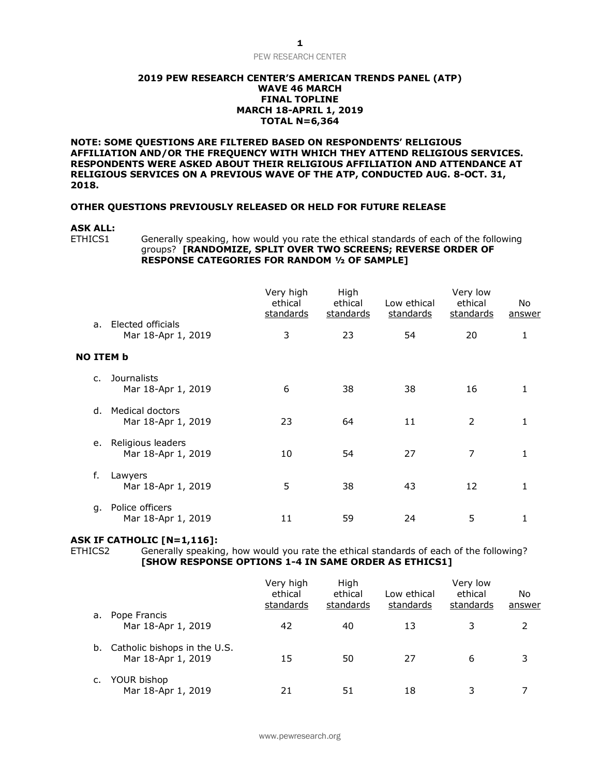# **2019 PEW RESEARCH CENTER'S AMERICAN TRENDS PANEL (ATP) WAVE 46 MARCH FINAL TOPLINE MARCH 18-APRIL 1, 2019 TOTAL N=6,364**

**NOTE: SOME QUESTIONS ARE FILTERED BASED ON RESPONDENTS' RELIGIOUS AFFILIATION AND/OR THE FREQUENCY WITH WHICH THEY ATTEND RELIGIOUS SERVICES. RESPONDENTS WERE ASKED ABOUT THEIR RELIGIOUS AFFILIATION AND ATTENDANCE AT RELIGIOUS SERVICES ON A PREVIOUS WAVE OF THE ATP, CONDUCTED AUG. 8-OCT. 31, 2018.**

# **OTHER QUESTIONS PREVIOUSLY RELEASED OR HELD FOR FUTURE RELEASE**

# **ASK ALL:**

Generally speaking, how would you rate the ethical standards of each of the following groups? **[RANDOMIZE, SPLIT OVER TWO SCREENS; REVERSE ORDER OF RESPONSE CATEGORIES FOR RANDOM ½ OF SAMPLE]**

|                  |                                              | Very high<br>ethical<br>standards | High<br>ethical<br>standards | Low ethical<br><u>standards</u> | Very low<br>ethical<br>standards | No<br>answer |
|------------------|----------------------------------------------|-----------------------------------|------------------------------|---------------------------------|----------------------------------|--------------|
| a <sub>z</sub>   | Elected officials<br>Mar 18-Apr 1, 2019      | 3                                 | 23                           | 54                              | 20                               | 1            |
| <b>NO ITEM b</b> |                                              |                                   |                              |                                 |                                  |              |
| C.               | <b>Journalists</b><br>Mar 18-Apr 1, 2019     | 6                                 | 38                           | 38                              | 16                               |              |
| d.               | <b>Medical doctors</b><br>Mar 18-Apr 1, 2019 | 23                                | 64                           | 11                              | $\overline{2}$                   |              |
| е.               | Religious leaders<br>Mar 18-Apr 1, 2019      | 10                                | 54                           | 27                              | 7                                |              |
| f.               | Lawyers<br>Mar 18-Apr 1, 2019                | 5                                 | 38                           | 43                              | 12                               |              |
| q.               | Police officers<br>Mar 18-Apr 1, 2019        | 11                                | 59                           | 24                              | 5                                |              |

# **ASK IF CATHOLIC [N=1,116]:**

ETHICS2 Generally speaking, how would you rate the ethical standards of each of the following? **[SHOW RESPONSE OPTIONS 1-4 IN SAME ORDER AS ETHICS1]** 

|    |                                                    | Very high<br>ethical<br>standards | High<br>ethical<br>standards | Low ethical<br>standards | Very low<br>ethical<br>standards | No<br>answer |
|----|----------------------------------------------------|-----------------------------------|------------------------------|--------------------------|----------------------------------|--------------|
| a. | Pope Francis<br>Mar 18-Apr 1, 2019                 | 42                                | 40                           | 13                       |                                  | 2            |
| b. | Catholic bishops in the U.S.<br>Mar 18-Apr 1, 2019 | 15                                | 50                           | 27                       | 6                                | 3            |
| c. | YOUR bishop<br>Mar 18-Apr 1, 2019                  | 21                                | 51                           | 18                       |                                  |              |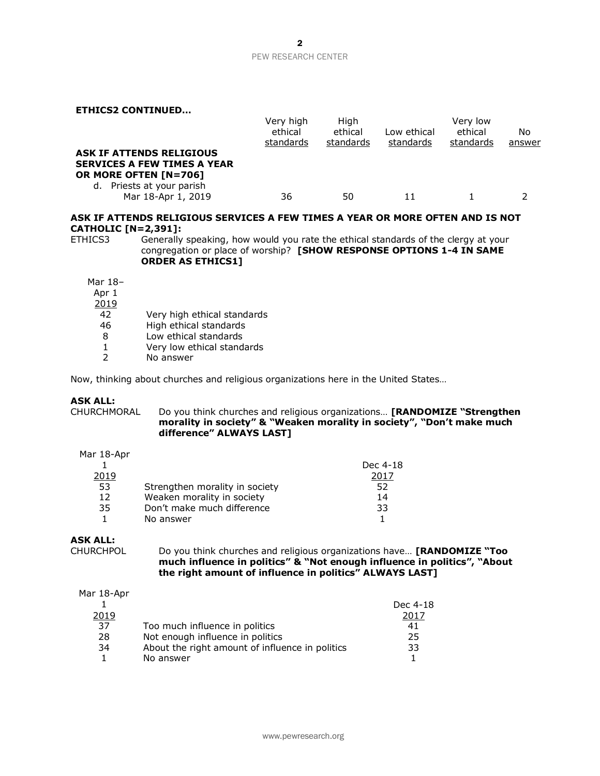**ETHICS2 CONTINUED…** Very high ethical standards High ethical standards Low ethical standards Very low ethical standards No answer **ASK IF ATTENDS RELIGIOUS SERVICES A FEW TIMES A YEAR OR MORE OFTEN [N=706]** d. Priests at your parish Mar 18-Apr 1, 2019 36 50 11 1 2

# **ASK IF ATTENDS RELIGIOUS SERVICES A FEW TIMES A YEAR OR MORE OFTEN AND IS NOT CATHOLIC [N=2,391]:**

ETHICS3 Generally speaking, how would you rate the ethical standards of the clergy at your congregation or place of worship? **[SHOW RESPONSE OPTIONS 1-4 IN SAME ORDER AS ETHICS1]** 

Mar 18–

Apr 1

2019

- 42 Very high ethical standards<br>46 High ethical standards
- High ethical standards
- 8 Low ethical standards
- 1 Very low ethical standards
- 2 No answer

Now, thinking about churches and religious organizations here in the United States…

# **ASK ALL:**

CHURCHMORAL Do you think churches and religious organizations… **[RANDOMIZE "Strengthen morality in society" & "Weaken morality in society", "Don't make much difference" ALWAYS LAST]**

|  | Mar 18-Apr |
|--|------------|
|--|------------|

|      |                                | Dec 4-18 |
|------|--------------------------------|----------|
| 2019 |                                | 201/     |
| 53   | Strengthen morality in society | 52       |
| 12   | Weaken morality in society     | 14       |
| 35   | Don't make much difference     | 33       |
|      | No answer                      |          |

# **ASK ALL:**

CHURCHPOL Do you think churches and religious organizations have… **[RANDOMIZE "Too much influence in politics" & "Not enough influence in politics", "About the right amount of influence in politics" ALWAYS LAST]**

Mar 18-Apr

|      |                                                 | Dec 4-18 |
|------|-------------------------------------------------|----------|
| 2019 |                                                 | 2017     |
| -37  | Too much influence in politics                  | 41       |
| 28   | Not enough influence in politics                | 25       |
| 34   | About the right amount of influence in politics | 33       |
|      | No answer                                       |          |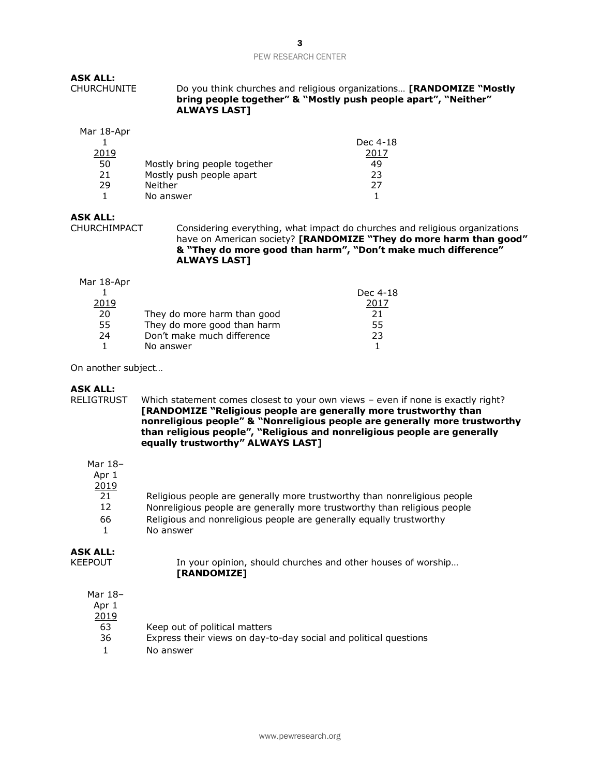# **ASK ALL:**

CHURCHUNITE Do you think churches and religious organizations… **[RANDOMIZE "Mostly bring people together" & "Mostly push people apart", "Neither" ALWAYS LAST]**

#### Mar 18-Apr

|      |                              | Dec 4-18 |
|------|------------------------------|----------|
| 2019 |                              | 201'     |
| 50   | Mostly bring people together | 49       |
| 21   | Mostly push people apart     | フ3       |
| 29   | Neither                      | つつ       |
|      | No answer                    |          |

# **ASK ALL:**

CHURCHIMPACT Considering everything, what impact do churches and religious organizations have on American society? **[RANDOMIZE "They do more harm than good" & "They do more good than harm", "Don't make much difference" ALWAYS LAST]**

#### Mar 18-Apr

|      |                             | Dec 4-18 |
|------|-----------------------------|----------|
| 2019 |                             | 2017     |
| 20   | They do more harm than good | 21       |
| 55   | They do more good than harm | 55       |
| 24   | Don't make much difference  | 23       |
|      | No answer                   |          |
|      |                             |          |

On another subject…

# **ASK ALL:**

RELIGTRUST Which statement comes closest to your own views – even if none is exactly right? **[RANDOMIZE "Religious people are generally more trustworthy than nonreligious people" & "Nonreligious people are generally more trustworthy than religious people", "Religious and nonreligious people are generally equally trustworthy" ALWAYS LAST]**

# Mar 18–

| Apr 1 |                                                                          |
|-------|--------------------------------------------------------------------------|
| 2019  |                                                                          |
| 21    | Religious people are generally more trustworthy than nonreligious people |
| 12    | Nonreligious people are generally more trustworthy than religious people |
| 66    | Religious and nonreligious people are generally equally trustworthy      |
|       | No answer                                                                |

# **ASK ALL:**

| KEEPOUT | In your opinion, should churches and other houses of worship |
|---------|--------------------------------------------------------------|
|         | [RANDOMIZE]                                                  |

# Mar 18–

Apr 1

- 2019
	- 63 Keep out of political matters
	- 36 Express their views on day-to-day social and political questions
	- 1 No answer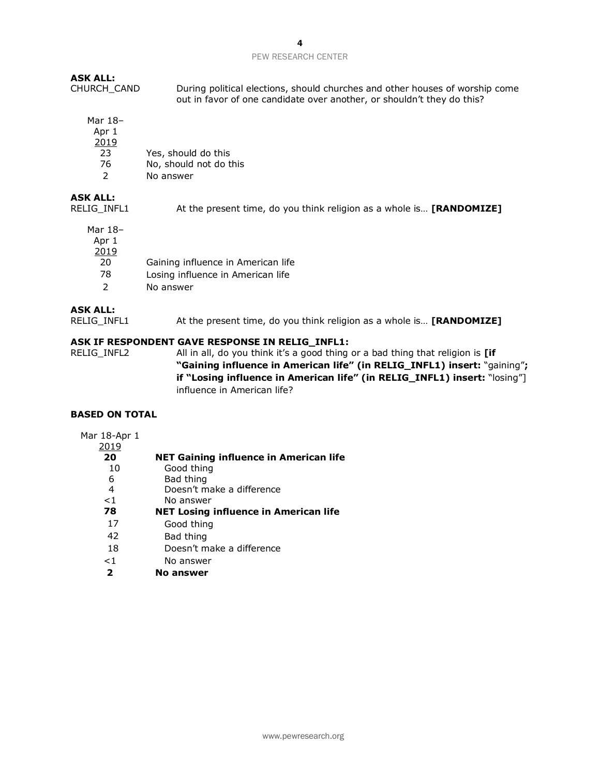# **ASK ALL:**

CHURCH\_CAND During political elections, should churches and other houses of worship come out in favor of one candidate over another, or shouldn't they do this?

Mar 18–

| Apr 1         |                        |
|---------------|------------------------|
| 2019          |                        |
| 23            | Yes, should do this    |
| 76            | No, should not do this |
| $\mathcal{P}$ | No answer              |

# **ASK ALL:**

RELIG\_INFL1 At the present time, do you think religion as a whole is… **[RANDOMIZE]** 

Mar 18–

Apr 1

2019

- 20 Gaining influence in American life
- 78 Losing influence in American life
- 2 No answer

# **ASK ALL:**

RELIG\_INFL1 At the present time, do you think religion as a whole is… **[RANDOMIZE]** 

# **ASK IF RESPONDENT GAVE RESPONSE IN RELIG\_INFL1:**

RELIG\_INFL2 All in all, do you think it's a good thing or a bad thing that religion is **[if "Gaining influence in American life" (in RELIG\_INFL1) insert:** "gaining"**; if "Losing influence in American life" (in RELIG\_INFL1) insert:** "losing"] influence in American life?

# **BASED ON TOTAL**

# Mar 18-Apr 1

| 2019  |                                              |
|-------|----------------------------------------------|
| 20    | NET Gaining influence in American life       |
| 10    | Good thing                                   |
| 6     | Bad thing                                    |
| 4     | Doesn't make a difference                    |
| $<$ 1 | No answer                                    |
| 78    | <b>NET Losing influence in American life</b> |
| 17    | Good thing                                   |
| 42    | Bad thing                                    |
|       |                                              |
| 18    | Doesn't make a difference                    |
| $<$ 1 | No answer                                    |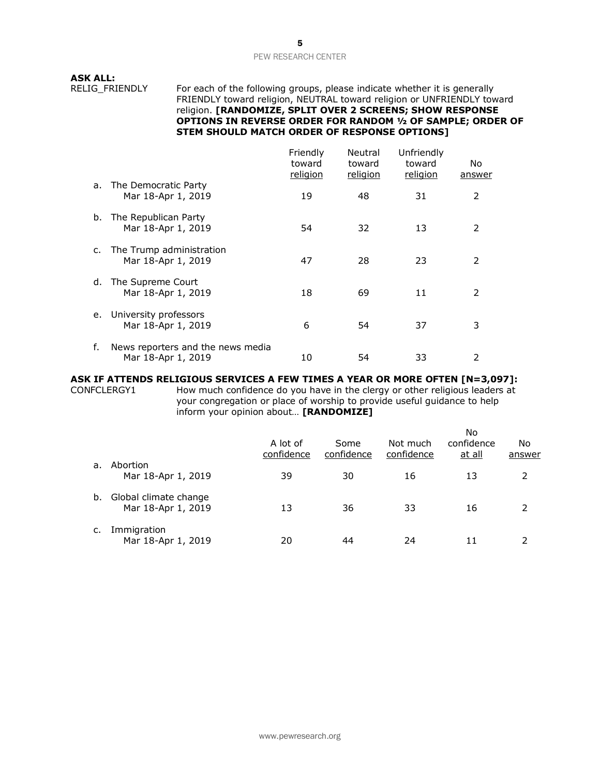**ASK ALL:**

RELIG\_FRIENDLY For each of the following groups, please indicate whether it is generally FRIENDLY toward religion, NEUTRAL toward religion or UNFRIENDLY toward religion. **[RANDOMIZE, SPLIT OVER 2 SCREENS; SHOW RESPONSE OPTIONS IN REVERSE ORDER FOR RANDOM ½ OF SAMPLE; ORDER OF STEM SHOULD MATCH ORDER OF RESPONSE OPTIONS]**

|             |                                                         | Friendly<br>toward<br>religion | Neutral<br>toward<br>religion | Unfriendly<br>toward<br>religion | No.<br>answer |
|-------------|---------------------------------------------------------|--------------------------------|-------------------------------|----------------------------------|---------------|
| a.          | The Democratic Party<br>Mar 18-Apr 1, 2019              | 19                             | 48                            | 31                               | 2             |
|             | b. The Republican Party<br>Mar 18-Apr 1, 2019           | 54                             | 32                            | 13                               | 2             |
| $c_{\cdot}$ | The Trump administration<br>Mar 18-Apr 1, 2019          | 47                             | 28                            | 23                               | 2             |
| d.          | The Supreme Court<br>Mar 18-Apr 1, 2019                 | 18                             | 69                            | 11                               | 2             |
| e.          | University professors<br>Mar 18-Apr 1, 2019             | 6                              | 54                            | 37                               | 3             |
| f.          | News reporters and the news media<br>Mar 18-Apr 1, 2019 | 10                             | 54                            | 33                               | 2             |

# **ASK IF ATTENDS RELIGIOUS SERVICES A FEW TIMES A YEAR OR MORE OFTEN [N=3,097]:**

CONFCLERGY1 How much confidence do you have in the clergy or other religious leaders at your congregation or place of worship to provide useful guidance to help inform your opinion about… **[RANDOMIZE]** 

|    |                                             | A lot of<br>confidence | Some<br>confidence | Not much<br>confidence | <b>No</b><br>confidence<br>at all | No<br>answer  |
|----|---------------------------------------------|------------------------|--------------------|------------------------|-----------------------------------|---------------|
| a. | Abortion<br>Mar 18-Apr 1, 2019              | 39                     | 30                 | 16                     | 13                                | $\mathcal{L}$ |
| b. | Global climate change<br>Mar 18-Apr 1, 2019 | 13                     | 36                 | 33                     | 16                                | $\mathcal{P}$ |
|    | Immigration<br>Mar 18-Apr 1, 2019           | 20                     | 44                 | 24                     |                                   |               |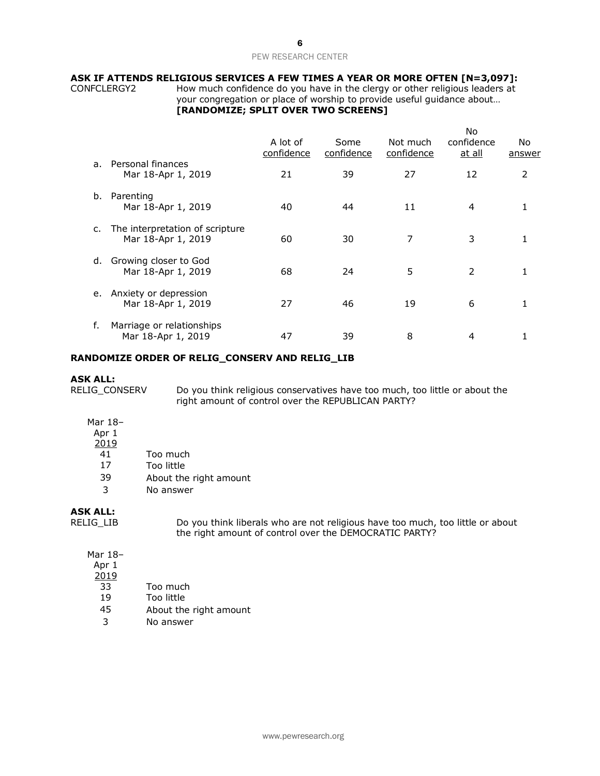# **ASK IF ATTENDS RELIGIOUS SERVICES A FEW TIMES A YEAR OR MORE OFTEN [N=3,097]:**

CONFCLERGY2 How much confidence do you have in the clergy or other religious leaders at your congregation or place of worship to provide useful guidance about… **[RANDOMIZE; SPLIT OVER TWO SCREENS]**

|                |                                                       |                        |                    |                        | No                          |                      |
|----------------|-------------------------------------------------------|------------------------|--------------------|------------------------|-----------------------------|----------------------|
|                |                                                       | A lot of<br>confidence | Some<br>confidence | Not much<br>confidence | confidence<br><u>at all</u> | No.<br><u>answer</u> |
| a <sub>z</sub> | Personal finances<br>Mar 18-Apr 1, 2019               | 21                     | 39                 | 27                     | 12                          | 2                    |
| b.             | Parenting<br>Mar 18-Apr 1, 2019                       | 40                     | 44                 | 11                     | 4                           |                      |
| c.             | The interpretation of scripture<br>Mar 18-Apr 1, 2019 | 60                     | 30                 | 7                      | 3                           |                      |
| d.             | Growing closer to God<br>Mar 18-Apr 1, 2019           | 68                     | 24                 | 5                      | $\mathcal{P}$               |                      |
| е.             | Anxiety or depression<br>Mar 18-Apr 1, 2019           | 27                     | 46                 | 19                     | 6                           |                      |
| f.             | Marriage or relationships<br>Mar 18-Apr 1, 2019       | 47                     | 39                 | 8                      | 4                           |                      |

# **RANDOMIZE ORDER OF RELIG\_CONSERV AND RELIG\_LIB**

#### **ASK ALL:**

RELIG\_CONSERV Do you think religious conservatives have too much, too little or about the right amount of control over the REPUBLICAN PARTY?

- Mar 18–
- Apr 1
- 2019
- $\overline{41}$  Too much
- 17 Too little
- 39 About the right amount
- 3 No answer

# **ASK ALL:**

RELIG\_LIB Do you think liberals who are not religious have too much, too little or about the right amount of control over the DEMOCRATIC PARTY?

# Mar 18–

- Apr 1
- 2019
- 33 Too much
- 19 Too little
- 45 About the right amount
- 3 No answer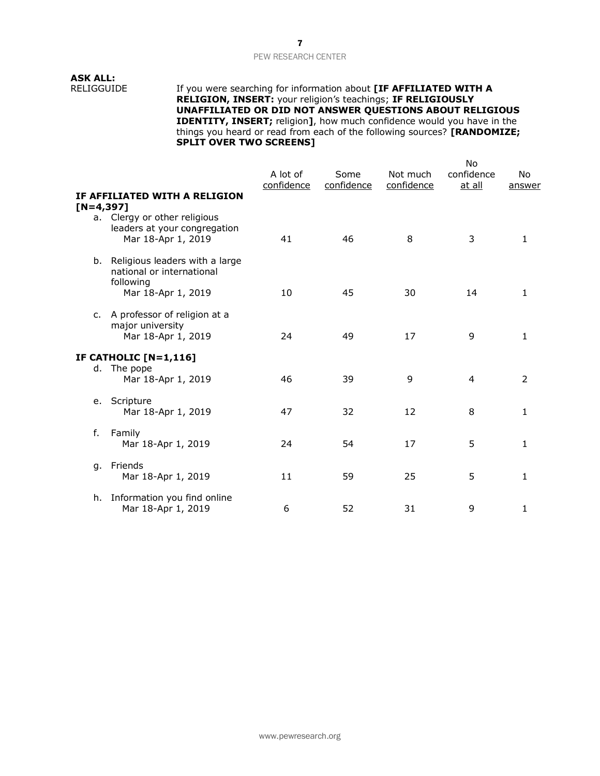# **ASK ALL:**

RELIGGUIDE If you were searching for information about **[IF AFFILIATED WITH A RELIGION, INSERT:** your religion's teachings; **IF RELIGIOUSLY UNAFFILIATED OR DID NOT ANSWER QUESTIONS ABOUT RELIGIOUS IDENTITY, INSERT;** religion**]**, how much confidence would you have in the things you heard or read from each of the following sources? **[RANDOMIZE; SPLIT OVER TWO SCREENS]**

|              |                                                                                 | A lot of<br>confidence | Some<br>confidence | Not much<br>confidence | <b>No</b><br>confidence<br>at all | No.<br>answer |
|--------------|---------------------------------------------------------------------------------|------------------------|--------------------|------------------------|-----------------------------------|---------------|
| $[N=4, 397]$ | IF AFFILIATED WITH A RELIGION                                                   |                        |                    |                        |                                   |               |
| а.           | Clergy or other religious<br>leaders at your congregation<br>Mar 18-Apr 1, 2019 | 41                     | 46                 | 8                      | 3                                 | 1             |
|              | b. Religious leaders with a large<br>national or international<br>following     |                        |                    |                        |                                   |               |
|              | Mar 18-Apr 1, 2019                                                              | 10                     | 45                 | 30                     | 14                                | 1             |
| $C_{1}$      | A professor of religion at a<br>major university<br>Mar 18-Apr 1, 2019          | 24                     | 49                 | 17                     | 9                                 | 1             |
|              |                                                                                 |                        |                    |                        |                                   |               |
| d.           | IF CATHOLIC [N=1,116]<br>The pope<br>Mar 18-Apr 1, 2019                         | 46                     | 39                 | 9                      | $\overline{4}$                    | 2             |
| e.           | Scripture<br>Mar 18-Apr 1, 2019                                                 | 47                     | 32                 | 12                     | 8                                 | 1             |
| f.           | Family<br>Mar 18-Apr 1, 2019                                                    | 24                     | 54                 | 17                     | 5                                 | 1             |
| q.           | Friends<br>Mar 18-Apr 1, 2019                                                   | 11                     | 59                 | 25                     | 5                                 | 1             |
| h.           | Information you find online<br>Mar 18-Apr 1, 2019                               | 6                      | 52                 | 31                     | 9                                 | 1             |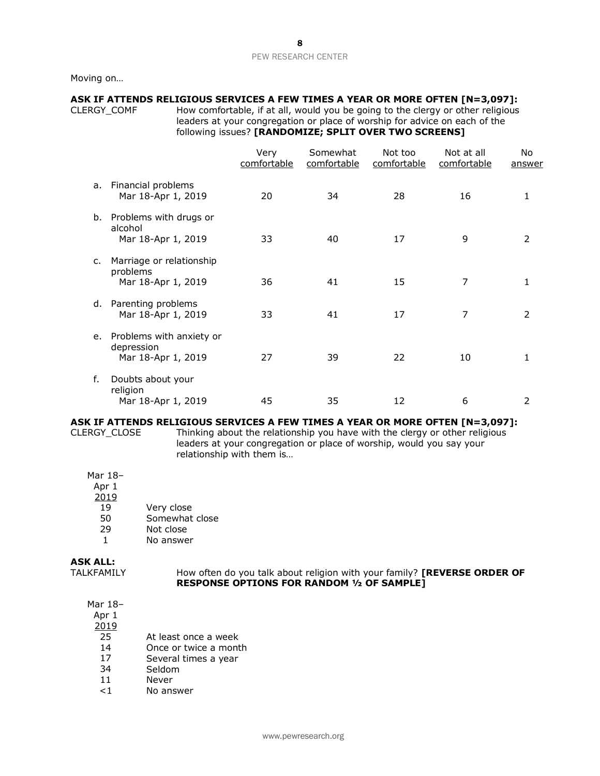Moving on…

# **ASK IF ATTENDS RELIGIOUS SERVICES A FEW TIMES A YEAR OR MORE OFTEN [N=3,097]:**

CLERGY\_COMF How comfortable, if at all, would you be going to the clergy or other religious leaders at your congregation or place of worship for advice on each of the

#### following issues? **[RANDOMIZE; SPLIT OVER TWO SCREENS]**

|    |                                                              | Very<br>comfortable | Somewhat<br>comfortable | Not too<br>comfortable | Not at all<br>comfortable | No<br>answer   |
|----|--------------------------------------------------------------|---------------------|-------------------------|------------------------|---------------------------|----------------|
| a. | Financial problems<br>Mar 18-Apr 1, 2019                     | 20                  | 34                      | 28                     | 16                        | 1              |
| b. | Problems with drugs or<br>alcohol<br>Mar 18-Apr 1, 2019      | 33                  | 40                      | 17                     | 9                         | $\overline{2}$ |
| c. | Marriage or relationship<br>problems<br>Mar 18-Apr 1, 2019   | 36                  | 41                      | 15                     | 7                         | 1              |
|    | d. Parenting problems<br>Mar 18-Apr 1, 2019                  | 33                  | 41                      | 17                     | 7                         | $\overline{2}$ |
| e. | Problems with anxiety or<br>depression<br>Mar 18-Apr 1, 2019 | 27                  | 39                      | 22                     | 10                        | 1              |
| f. | Doubts about your<br>religion<br>Mar 18-Apr 1, 2019          | 45                  | 35                      | 12                     | 6                         | 2              |

# **ASK IF ATTENDS RELIGIOUS SERVICES A FEW TIMES A YEAR OR MORE OFTEN [N=3,097]:**

CLERGY\_CLOSE Thinking about the relationship you have with the clergy or other religious leaders at your congregation or place of worship, would you say your relationship with them is…

Mar 18–

Apr 1

- 2019
- 19 Very close
- 50 Somewhat close<br>29 Not close
- Not close
- 1 No answer

# **ASK ALL:**

TALKFAMILY How often do you talk about religion with your family? **[REVERSE ORDER OF RESPONSE OPTIONS FOR RANDOM ½ OF SAMPLE]**

Mar 18–

Apr 1

- 25 At least once a week
- 14 Once or twice a month<br>17 Several times a year
- Several times a year
- 34 Seldom
- 11 Never
- <1 No answer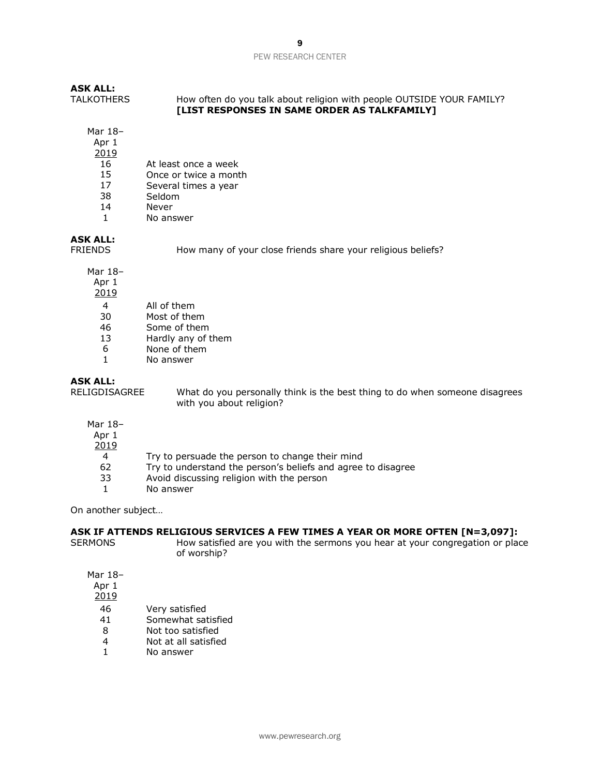| <b>ASK ALL:</b>   |                                                                                                                              |
|-------------------|------------------------------------------------------------------------------------------------------------------------------|
| <b>TALKOTHERS</b> | How often do you talk about religion with people OUTSIDE YOUR FAMILY?<br><b>ILIST RESPONSES IN SAME ORDER AS TALKFAMILY1</b> |
|                   |                                                                                                                              |

Mar 18–

Apr 1

- 2019
- 16 At least once a week
- 15 Once or twice a month
- 17 Several times a year
- 38 Seldom
- 14 Never
- 1 No answer

# **ASK ALL:**

FRIENDS How many of your close friends share your religious beliefs?

Mar 18–

Apr 1

2019

- 4 All of them
- 30 Most of them
- 46 Some of them
- 13 Hardly any of them
- 6 None of them
- 1 No answer

**ASK ALL:** What do you personally think is the best thing to do when someone disagrees with you about religion?

- Mar 18–
- Apr 1
- 2019
	- 4 Try to persuade the person to change their mind
- 62 Try to understand the person's beliefs and agree to disagree
- 33 Avoid discussing religion with the person
- 1 No answer

On another subject…

# **ASK IF ATTENDS RELIGIOUS SERVICES A FEW TIMES A YEAR OR MORE OFTEN [N=3,097]:**

SERMONS How satisfied are you with the sermons you hear at your congregation or place of worship?

Mar 18–

Apr 1

- 46 Very satisfied<br>41 Somewhat sat
- Somewhat satisfied
- 8 Not too satisfied
- 4 Not at all satisfied
- 1 No answer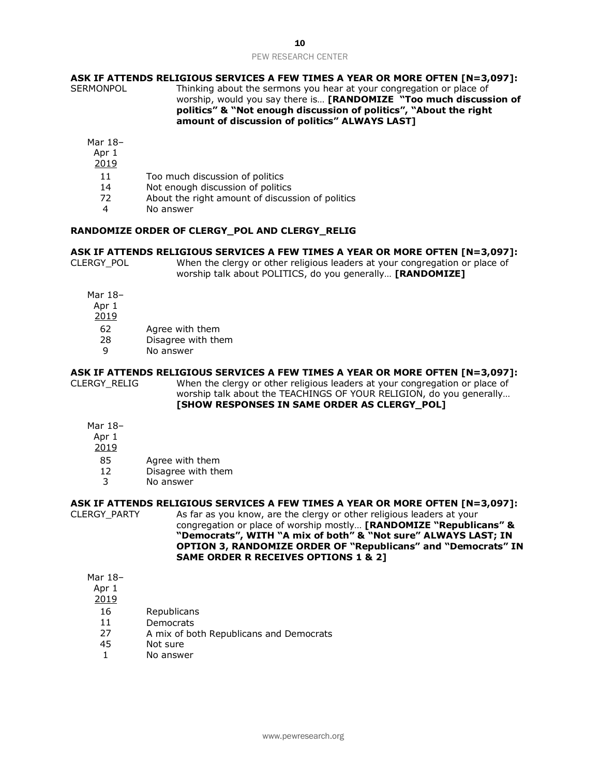# **ASK IF ATTENDS RELIGIOUS SERVICES A FEW TIMES A YEAR OR MORE OFTEN [N=3,097]:** SERMONPOL Thinking about the sermons you hear at your congregation or place of

worship, would you say there is… **[RANDOMIZE "Too much discussion of politics" & "Not enough discussion of politics", "About the right amount of discussion of politics" ALWAYS LAST]**

Mar 18–

Apr 1

- 2019
- 11 Too much discussion of politics
- 14 Not enough discussion of politics
- 72 About the right amount of discussion of politics
- 4 No answer

#### **RANDOMIZE ORDER OF CLERGY\_POL AND CLERGY\_RELIG**

# **ASK IF ATTENDS RELIGIOUS SERVICES A FEW TIMES A YEAR OR MORE OFTEN [N=3,097]:**

CLERGY\_POL When the clergy or other religious leaders at your congregation or place of worship talk about POLITICS, do you generally… **[RANDOMIZE]** 

- Mar 18–
- Apr 1
- 2019
- 62 Agree with them
- 28 Disagree with them
- 9 No answer

# **ASK IF ATTENDS RELIGIOUS SERVICES A FEW TIMES A YEAR OR MORE OFTEN [N=3,097]:**

CLERGY\_RELIG When the clergy or other religious leaders at your congregation or place of worship talk about the TEACHINGS OF YOUR RELIGION, do you generally… **[SHOW RESPONSES IN SAME ORDER AS CLERGY\_POL]**

- Mar 18–
- Apr 1
- 2019
- 85 Agree with them
- 12 Disagree with them
- 3 No answer

#### **ASK IF ATTENDS RELIGIOUS SERVICES A FEW TIMES A YEAR OR MORE OFTEN [N=3,097]:**

CLERGY PARTY As far as you know, are the clergy or other religious leaders at your congregation or place of worship mostly… **[RANDOMIZE "Republicans" & "Democrats", WITH "A mix of both" & "Not sure" ALWAYS LAST; IN OPTION 3, RANDOMIZE ORDER OF "Republicans" and "Democrats" IN SAME ORDER R RECEIVES OPTIONS 1 & 2]**

# Mar 18–

Apr 1

- 16 Republicans
- 11 Democrats
- 27 A mix of both Republicans and Democrats
- 45 Not sure
- 1 No answer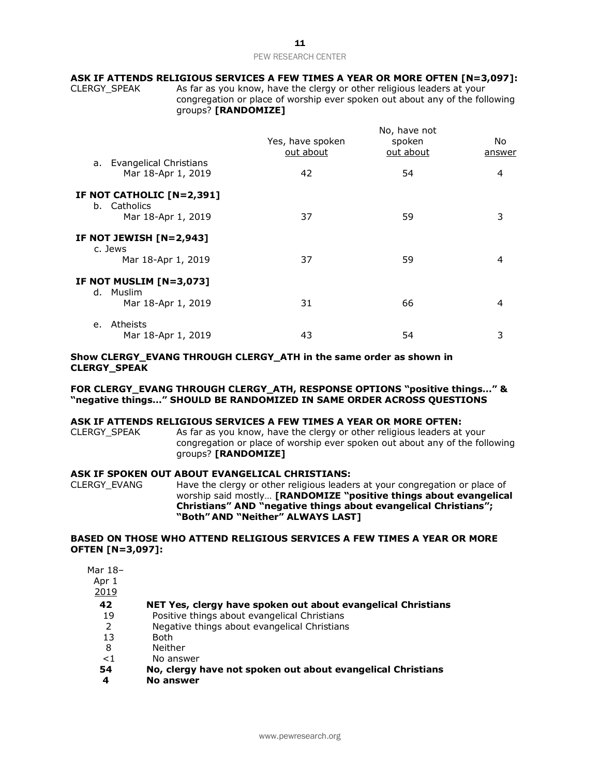# **ASK IF ATTENDS RELIGIOUS SERVICES A FEW TIMES A YEAR OR MORE OFTEN [N=3,097]:**

CLERGY\_SPEAK As far as you know, have the clergy or other religious leaders at your congregation or place of worship ever spoken out about any of the following groups? **[RANDOMIZE]**

|                                                 | Yes, have spoken<br>out about | No, have not<br>spoken<br>out about | No.<br>answer |
|-------------------------------------------------|-------------------------------|-------------------------------------|---------------|
| a. Evangelical Christians<br>Mar 18-Apr 1, 2019 | 42                            | 54                                  | 4             |
| IF NOT CATHOLIC [N=2,391]<br>b. Catholics       |                               |                                     |               |
| Mar 18-Apr 1, 2019                              | 37                            | 59                                  | 3             |
| <b>IF NOT JEWISH [N=2,943]</b><br>c. Jews       |                               |                                     |               |
| Mar 18-Apr 1, 2019                              | 37                            | 59                                  | 4             |
| IF NOT MUSLIM [N=3,073]                         |                               |                                     |               |
| d. Muslim<br>Mar 18-Apr 1, 2019                 | 31                            | 66                                  | 4             |
| Atheists<br>e.                                  |                               |                                     |               |
| Mar 18-Apr 1, 2019                              | 43                            | 54                                  | 3             |

# **Show CLERGY\_EVANG THROUGH CLERGY\_ATH in the same order as shown in CLERGY\_SPEAK**

# **FOR CLERGY\_EVANG THROUGH CLERGY\_ATH, RESPONSE OPTIONS "positive things…" & "negative things…" SHOULD BE RANDOMIZED IN SAME ORDER ACROSS QUESTIONS**

#### **ASK IF ATTENDS RELIGIOUS SERVICES A FEW TIMES A YEAR OR MORE OFTEN:**

CLERGY SPEAK As far as you know, have the clergy or other religious leaders at your congregation or place of worship ever spoken out about any of the following groups? **[RANDOMIZE]** 

# **ASK IF SPOKEN OUT ABOUT EVANGELICAL CHRISTIANS:**

CLERGY\_EVANG Have the clergy or other religious leaders at your congregation or place of worship said mostly… **[RANDOMIZE "positive things about evangelical Christians" AND "negative things about evangelical Christians"; "Both" AND "Neither" ALWAYS LAST]** 

# **BASED ON THOSE WHO ATTEND RELIGIOUS SERVICES A FEW TIMES A YEAR OR MORE OFTEN [N=3,097]:**

Mar 18–

| r<br>I<br>l |
|-------------|
|-------------|

2019

- **42 NET Yes, clergy have spoken out about evangelical Christians**
- 19 Positive things about evangelical Christians
- 2 Negative things about evangelical Christians
- 13 Both
- 8 Neither
- <1 No answer
- **54 No, clergy have not spoken out about evangelical Christians**
- **4 No answer**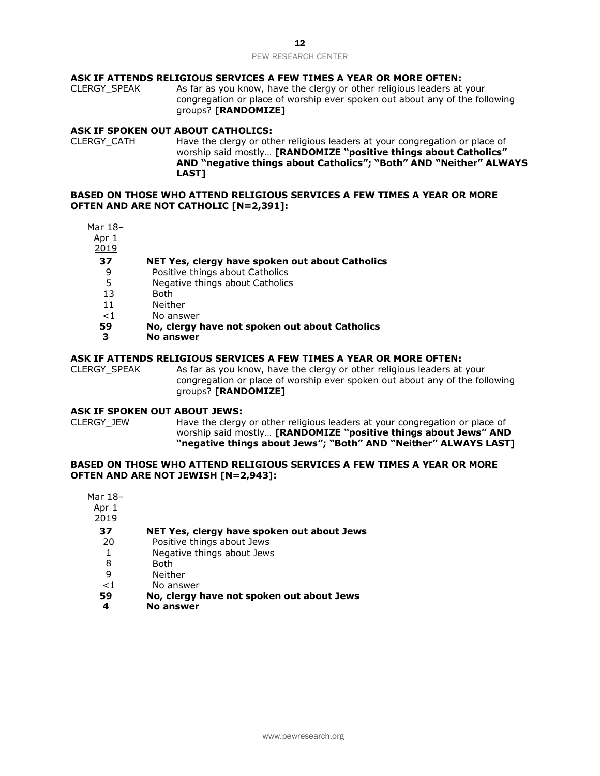# **ASK IF ATTENDS RELIGIOUS SERVICES A FEW TIMES A YEAR OR MORE OFTEN:**

CLERGY\_SPEAK As far as you know, have the clergy or other religious leaders at your congregation or place of worship ever spoken out about any of the following groups? **[RANDOMIZE]** 

# **ASK IF SPOKEN OUT ABOUT CATHOLICS:**

CLERGY\_CATH Have the clergy or other religious leaders at your congregation or place of worship said mostly… **[RANDOMIZE "positive things about Catholics" AND "negative things about Catholics"; "Both" AND "Neither" ALWAYS LAST]**

# **BASED ON THOSE WHO ATTEND RELIGIOUS SERVICES A FEW TIMES A YEAR OR MORE OFTEN AND ARE NOT CATHOLIC [N=2,391]:**

Mar 18–

Apr 1

2019

# **37 NET Yes, clergy have spoken out about Catholics**

- 9 Positive things about Catholics
- 5 Negative things about Catholics
- 13 Both
- 11 Neither
- <1 No answer
- **59 No, clergy have not spoken out about Catholics**
- **3 No answer**

# **ASK IF ATTENDS RELIGIOUS SERVICES A FEW TIMES A YEAR OR MORE OFTEN:**

CLERGY SPEAK As far as you know, have the clergy or other religious leaders at your congregation or place of worship ever spoken out about any of the following groups? **[RANDOMIZE]** 

#### **ASK IF SPOKEN OUT ABOUT JEWS:**

CLERGY\_JEW Have the clergy or other religious leaders at your congregation or place of worship said mostly… **[RANDOMIZE "positive things about Jews" AND "negative things about Jews"; "Both" AND "Neither" ALWAYS LAST]**

# **BASED ON THOSE WHO ATTEND RELIGIOUS SERVICES A FEW TIMES A YEAR OR MORE OFTEN AND ARE NOT JEWISH [N=2,943]:**

| Mar 18- |                                            |
|---------|--------------------------------------------|
| Apr 1   |                                            |
| 2019    |                                            |
| 37      | NET Yes, clergy have spoken out about Jews |
| 20      | Positive things about Jews                 |
|         | Negative things about Jews                 |
| 8       | Both                                       |
| 9       | Neither                                    |
| < 1     | No answer                                  |
| 59      | No, clergy have not spoken out about Jews  |
| 4       | No answer                                  |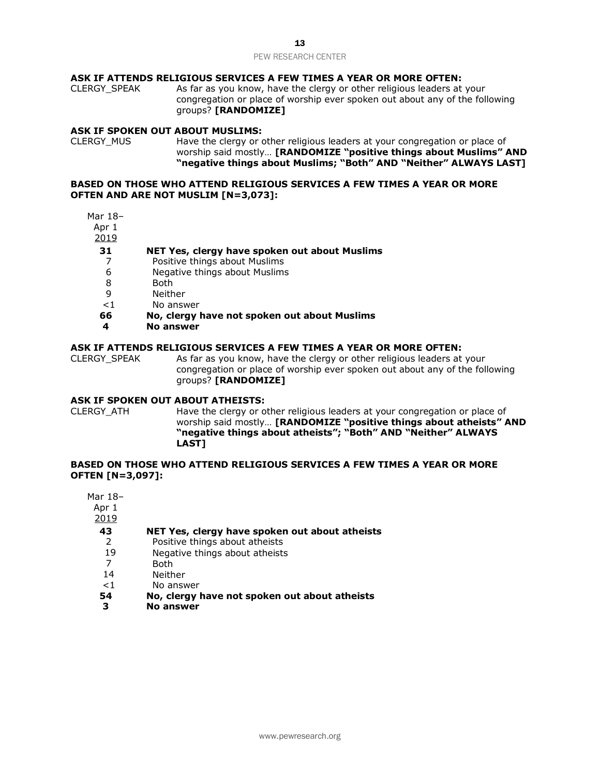# **ASK IF ATTENDS RELIGIOUS SERVICES A FEW TIMES A YEAR OR MORE OFTEN:**

CLERGY\_SPEAK As far as you know, have the clergy or other religious leaders at your congregation or place of worship ever spoken out about any of the following groups? **[RANDOMIZE]** 

# **ASK IF SPOKEN OUT ABOUT MUSLIMS:**

CLERGY MUS Have the clergy or other religious leaders at your congregation or place of worship said mostly… **[RANDOMIZE "positive things about Muslims" AND "negative things about Muslims; "Both" AND "Neither" ALWAYS LAST]**

# **BASED ON THOSE WHO ATTEND RELIGIOUS SERVICES A FEW TIMES A YEAR OR MORE OFTEN AND ARE NOT MUSLIM [N=3,073]:**

- Mar 18–
- Apr 1
- 2019

# **31 NET Yes, clergy have spoken out about Muslims**

- 7 Positive things about Muslims
- 6 Negative things about Muslims
- 8 Both
- 9 Neither
- <1 No answer
- **66 No, clergy have not spoken out about Muslims**
- **4 No answer**

# **ASK IF ATTENDS RELIGIOUS SERVICES A FEW TIMES A YEAR OR MORE OFTEN:**

CLERGY\_SPEAK As far as you know, have the clergy or other religious leaders at your congregation or place of worship ever spoken out about any of the following groups? **[RANDOMIZE]** 

# **ASK IF SPOKEN OUT ABOUT ATHEISTS:**

CLERGY\_ATH Have the clergy or other religious leaders at your congregation or place of worship said mostly… **[RANDOMIZE "positive things about atheists" AND "negative things about atheists"; "Both" AND "Neither" ALWAYS LAST]**

# **BASED ON THOSE WHO ATTEND RELIGIOUS SERVICES A FEW TIMES A YEAR OR MORE OFTEN [N=3,097]:**

Mar 18– Apr 1 2019 **43 NET Yes, clergy have spoken out about atheists** 2 Positive things about atheists 19 Negative things about atheists 7 Both 14 Neither

- <1 No answer
- **54 No, clergy have not spoken out about atheists**
- **3 No answer**